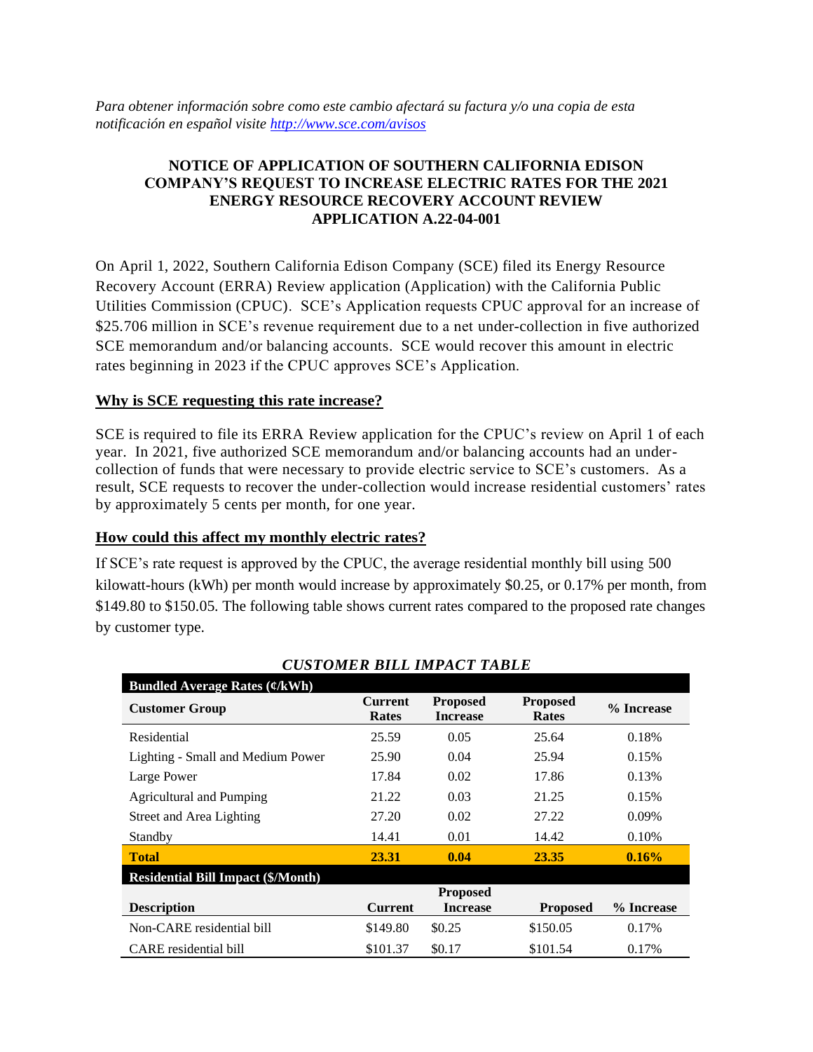*Para obtener información sobre como este cambio afectará su factura y/o una copia de esta notificación en español visite<http://www.sce.com/avisos>*

# **NOTICE OF APPLICATION OF SOUTHERN CALIFORNIA EDISON COMPANY'S REQUEST TO INCREASE ELECTRIC RATES FOR THE 2021 ENERGY RESOURCE RECOVERY ACCOUNT REVIEW APPLICATION A.22-04-001**

On April 1, 2022, Southern California Edison Company (SCE) filed its Energy Resource Recovery Account (ERRA) Review application (Application) with the California Public Utilities Commission (CPUC). SCE's Application requests CPUC approval for an increase of \$25.706 million in SCE's revenue requirement due to a net under-collection in five authorized SCE memorandum and/or balancing accounts. SCE would recover this amount in electric rates beginning in 2023 if the CPUC approves SCE's Application.

## **Why is SCE requesting this rate increase?**

SCE is required to file its ERRA Review application for the CPUC's review on April 1 of each year. In 2021, five authorized SCE memorandum and/or balancing accounts had an undercollection of funds that were necessary to provide electric service to SCE's customers. As a result, SCE requests to recover the under-collection would increase residential customers' rates by approximately 5 cents per month, for one year.

**How could this affect my monthly electric rates?**

If SCE's rate request is approved by the CPUC, the average residential monthly bill using 500 kilowatt-hours (kWh) per month would increase by approximately \$0.25, or 0.17% per month, from \$149.80 to \$150.05. The following table shows current rates compared to the proposed rate changes by customer type.

| <b>Bundled Average Rates <math>(\ell/kWh)</math></b> |                         |                                    |                                 |            |
|------------------------------------------------------|-------------------------|------------------------------------|---------------------------------|------------|
| <b>Customer Group</b>                                | <b>Current</b><br>Rates | <b>Proposed</b><br><b>Increase</b> | <b>Proposed</b><br><b>Rates</b> | % Increase |
| Residential                                          | 25.59                   | 0.05                               | 25.64                           | 0.18%      |
| Lighting - Small and Medium Power                    | 25.90                   | 0.04                               | 25.94                           | 0.15%      |
| Large Power                                          | 17.84                   | 0.02                               | 17.86                           | 0.13%      |
| <b>Agricultural and Pumping</b>                      | 21.22                   | 0.03                               | 21.25                           | 0.15%      |
| Street and Area Lighting                             | 27.20                   | 0.02                               | 27.22                           | 0.09%      |
| Standby                                              | 14.41                   | 0.01                               | 14.42                           | 0.10%      |
| <b>Total</b>                                         | 23.31                   | 0.04                               | 23.35                           | $0.16\%$   |
| <b>Residential Bill Impact (\$/Month)</b>            |                         |                                    |                                 |            |
|                                                      |                         | <b>Proposed</b>                    |                                 |            |
| <b>Description</b>                                   | <b>Current</b>          | <b>Increase</b>                    | <b>Proposed</b>                 | % Increase |
| Non-CARE residential bill                            | \$149.80                | \$0.25                             | \$150.05                        | 0.17%      |
| CARE residential bill                                | \$101.37                | \$0.17                             | \$101.54                        | 0.17%      |

*CUSTOMER BILL IMPACT TABLE*